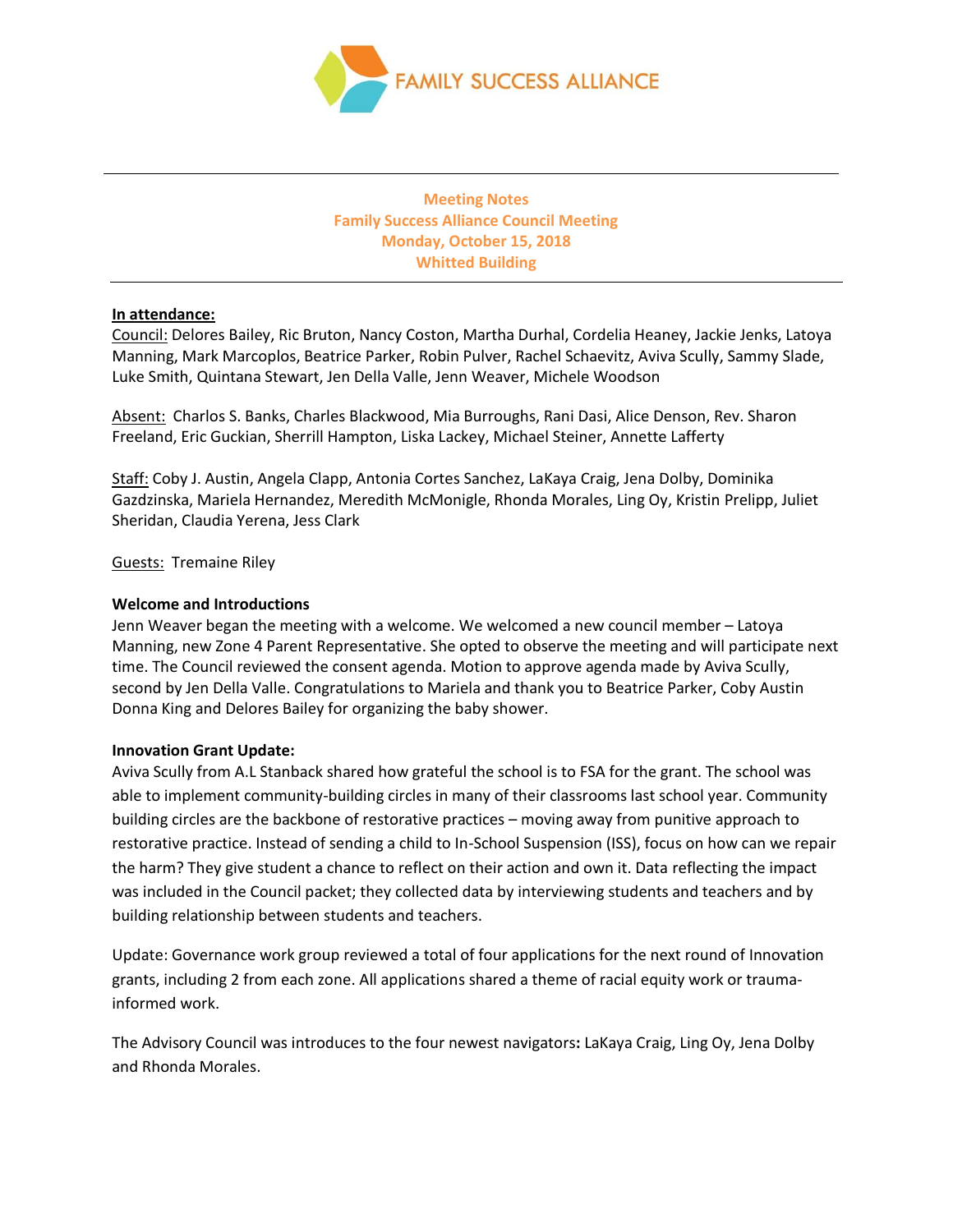

**Meeting Notes Family Success Alliance Council Meeting Monday, October 15, 2018 Whitted Building**

## **In attendance:**

Council: Delores Bailey, Ric Bruton, Nancy Coston, Martha Durhal, Cordelia Heaney, Jackie Jenks, Latoya Manning, Mark Marcoplos, Beatrice Parker, Robin Pulver, Rachel Schaevitz, Aviva Scully, Sammy Slade, Luke Smith, Quintana Stewart, Jen Della Valle, Jenn Weaver, Michele Woodson

Absent: Charlos S. Banks, Charles Blackwood, Mia Burroughs, Rani Dasi, Alice Denson, Rev. Sharon Freeland, Eric Guckian, Sherrill Hampton, Liska Lackey, Michael Steiner, Annette Lafferty

Staff: Coby J. Austin, Angela Clapp, Antonia Cortes Sanchez, LaKaya Craig, Jena Dolby, Dominika Gazdzinska, Mariela Hernandez, Meredith McMonigle, Rhonda Morales, Ling Oy, Kristin Prelipp, Juliet Sheridan, Claudia Yerena, Jess Clark

Guests: Tremaine Riley

## **Welcome and Introductions**

Jenn Weaver began the meeting with a welcome. We welcomed a new council member – Latoya Manning, new Zone 4 Parent Representative. She opted to observe the meeting and will participate next time. The Council reviewed the consent agenda. Motion to approve agenda made by Aviva Scully, second by Jen Della Valle. Congratulations to Mariela and thank you to Beatrice Parker, Coby Austin Donna King and Delores Bailey for organizing the baby shower.

## **Innovation Grant Update:**

Aviva Scully from A.L Stanback shared how grateful the school is to FSA for the grant. The school was able to implement community-building circles in many of their classrooms last school year. Community building circles are the backbone of restorative practices – moving away from punitive approach to restorative practice. Instead of sending a child to In-School Suspension (ISS), focus on how can we repair the harm? They give student a chance to reflect on their action and own it. Data reflecting the impact was included in the Council packet; they collected data by interviewing students and teachers and by building relationship between students and teachers.

Update: Governance work group reviewed a total of four applications for the next round of Innovation grants, including 2 from each zone. All applications shared a theme of racial equity work or traumainformed work.

The Advisory Council was introduces to the four newest navigators**:** LaKaya Craig, Ling Oy, Jena Dolby and Rhonda Morales.